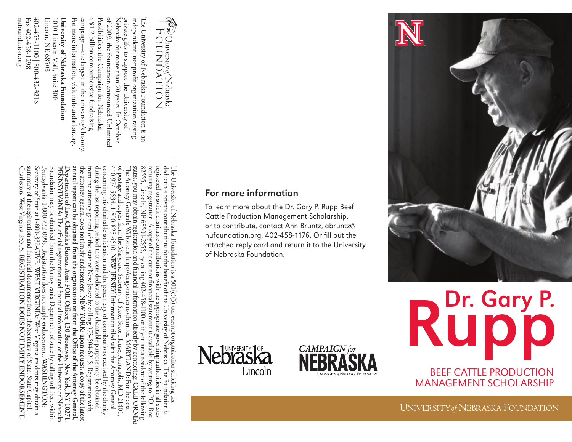nufoundation.org Fax 402-458-1298 Fax 402-458-1298

402-458-1100 800-432-3216 402-458-1100 | 800-432-3216

Lincoln, NE 68508 Lincoln, NE 68508 1010 Lincoln Mall, Suite 300 University of Nebraska Foundation **University of Nebraska Foundation** 1010 Lincoln Mall, Suite 300

For more information, visit nufoundation.org. campaign—the largest in the university's history. a \$1.2 billion comprehensive fundraising Possibilities: the Campaign for Nebraska, of 2009, the foundation announced Unlimited Nebraska for more than 70 years. In October private gifts to support the University of independent, nonprofit organization raising The University of Nebraska Foundation is an

For more information, visit nufoundation.org campaign—the largest in the university's history

a \$1.2 billion comprehensive fundraising

Possibilities: the Campaign for Nebraska, of 2009, the foundation announced Unlimited Nebraska for more than 70 years. In October private gifts to support the University of independent, nonprofit organization raising The University of Nebraska Foundation is an

University of Nebraska OUNDATION

nufoundation.org<br> **ENDORSEMENT:**Internation.org<br>
Internation.org<br>
Internation.org<br>
Internation.org<br>
Internation.org<br>
Internation.org<br>
Internation.org<br>
Internation.org<br>
Internation.org<br>
Internation.org<br>
Internation.org<br>
In states, you may obtain registration and financial information directly by contacting: CALIFORNIA: The Attorney General's Web site at http://caag.state.ca.us/charities. MARYLAND: For the cost<br>The Attorney General's Web site The University of Nebraska Foundation is a 501(c)(3) tax-exempt organization soliciting tax<br>deductible private contributions for the benefit of the University of Nebraska. The Foundation is Charleston, West Virginia 25305. summary of the registration and financial documents from the Secretary of State, State Capitol summary of the registration and financial documents from the Secretary of State, State Capitol, Secretary of State at 1-800-332-GIVE. WEST VIRGINIA: West Virginia residents may obtain a Secretary of State at 1-800-332-GIVE. **WEST VIRGINIA:**Pennsylvania, 1-800-732-0999. Registration does not imply endorsement. Foundation may be obtained from the Pennsylvania Department of state by calling toll free, within **PENNSYLVANIA:** Department of Law, Charities Bureau, Attn: FOIL Officer, 120 Broadway, New York, NY 10271.  $\sim$ annual report can be obtained from the organization or from the Office of the Attomey General, **annual report can be obtained from the organization or from the Office of the Attorney General,**  the attorney general does not imply endorsement. NEW YORK: upon request, a copy of the latest the attorney general does not imply endorsement. from the attorney general of the state of New Jersey by calling 973-504-6215. Registration with during the last reporting period that were dedicated to the charitable purpose may be obtained during the last reporting period that were dedicated to the charitable purpose may be obtained concerning this charitable solicitation and the percentage of contributions received by the charity concerning this charitable solicitation and the percentage of contributions received by the charity  $410-974-5534$ , 1-800-825-4510. NEW JERSEY: Information filed with the Attorney General 410-974-5534, 1-800-825-4510. of postage and copies from the Maryland Secretary of State, State House, Annapolis, MD 21401, of postage and copies from the Maryland Secretary of State, State House, Annapolis, MD 21401, The Attorney General's Web site at http://caag.state.ca.us/charities. states, you may obtain registration and financial information directly by contacting: 82555, Lincoln, NE 68501-2555, by calling 402-458-1100 or if you are a resident of the following 82555, Lincoln, NE 68501-2555, by calling 402-458-1100 or if you are a resident of the following requiring registration. A copy of the current financial statement is available by writing to P.O. Box requiring registration. A copy of the current financial statement is available by writing to P.O. Box registered to solicit charitable contributions with the appropriate governing authorities in all states registered to solicit charitable contributions with the appropriate governing authorities in all states deductible private contributions for the benefit of the University of Nebraska. The Foundation is The University of Nebraska Foundation is a 501(c)(3) tax-exempt organization soliciting tax Pennsylvania, 1-800-732-0999. Registration does not imply endorsement. WASHINGTON: Foundation may be obtained from the Pennsylvania Department of state by calling toll free, within PENNSYLVANIA: The official registration and financial information of the University of Nebraska Department of Law, Charities Bureau, Attn: FOIL Officer, 120 Broadway, New York, NY 10271. from the attorney general of the state of New Jersey by calling 973-504-6215. Registration with The official registration and financial information of the University of Nebraska **NEW JERSEY:REGISTRATION** Information filed with the Attorney General **NEW YORK: upon request, a copy of the latest DOES** West Virginia residents may obtain a **NOT MARYLAND:IMPLY WASHINGTON:** For the cost **CALIFORNIA:**

## For more information

To learn more about the Dr. Gary P. Rupp Beef Cattle Production Management Scholarship, or to contribute, contact Ann Bruntz, abruntz@ nufoundation.org, 402-458-1176. Or fill out the attached reply card and return it to the University of Nebraska Foundation.







Pr. Gary P. BeeF CATTle PRODUCTiON MANAGEMENT SCHOLARSHIP

UNIVERSITY of NEBRASKA FOUNDATION